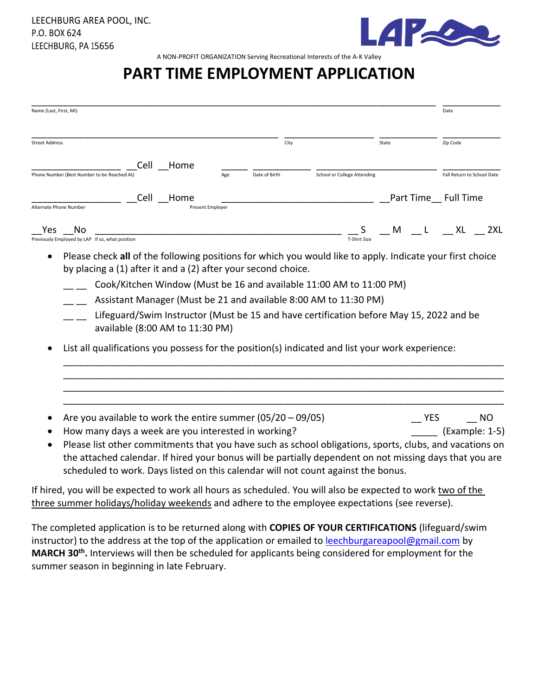

A NON-PROFIT ORGANIZATION Serving Recreational Interests of the A-K Valley

#### **PART TIME EMPLOYMENT APPLICATION**

| Name (Last, First, MI) |                                                       |                                 |           |                  |                                                               |                                                                                                                                                                                                                                                                                                         |       |              | Date                       |           |
|------------------------|-------------------------------------------------------|---------------------------------|-----------|------------------|---------------------------------------------------------------|---------------------------------------------------------------------------------------------------------------------------------------------------------------------------------------------------------------------------------------------------------------------------------------------------------|-------|--------------|----------------------------|-----------|
| <b>Street Address</b>  |                                                       |                                 |           |                  | City                                                          |                                                                                                                                                                                                                                                                                                         | State |              | Zip Code                   |           |
|                        |                                                       | Cell                            | Home      |                  |                                                               |                                                                                                                                                                                                                                                                                                         |       |              |                            |           |
|                        | Phone Number (Best Number to be Reached At            |                                 |           | Age              | Date of Birth                                                 | School or College Attending                                                                                                                                                                                                                                                                             |       |              | Fall Return to School Date |           |
|                        |                                                       |                                 | Cell Home |                  |                                                               |                                                                                                                                                                                                                                                                                                         |       |              | Part Time Full Time        |           |
| Alternate Phone Number |                                                       |                                 |           | Present Employer |                                                               |                                                                                                                                                                                                                                                                                                         |       |              |                            |           |
| Yes                    | No<br>Previously Employed by LAP If so, what position |                                 |           |                  |                                                               | T-Shirt Size                                                                                                                                                                                                                                                                                            | M     | $\mathbf{L}$ | <b>XL</b>                  | 2XL       |
|                        |                                                       | available (8:00 AM to 11:30 PM) |           |                  | by placing a (1) after it and a (2) after your second choice. | Cook/Kitchen Window (Must be 16 and available 11:00 AM to 11:00 PM)<br>Assistant Manager (Must be 21 and available 8:00 AM to 11:30 PM)<br>Lifeguard/Swim Instructor (Must be 15 and have certification before May 15, 2022 and be                                                                      |       |              |                            |           |
|                        |                                                       |                                 |           |                  |                                                               | List all qualifications you possess for the position(s) indicated and list your work experience:                                                                                                                                                                                                        |       |              |                            |           |
|                        |                                                       |                                 |           |                  | Are you available to work the entire summer $(05/20 - 09/05)$ |                                                                                                                                                                                                                                                                                                         |       | <b>YES</b>   |                            | <b>NO</b> |
| $\bullet$              |                                                       |                                 |           |                  | How many days a week are you interested in working?           | Please list other commitments that you have such as school obligations, sports, clubs, and vacations on<br>the attached calendar. If hired your bonus will be partially dependent on not missing days that you are<br>scheduled to work. Days listed on this calendar will not count against the bonus. |       |              | (Example: 1-5)             |           |

If hired, you will be expected to work all hours as scheduled. You will also be expected to work two of the three summer holidays/holiday weekends and adhere to the employee expectations (see reverse).

The completed application is to be returned along with **COPIES OF YOUR CERTIFICATIONS** (lifeguard/swim instructor) to the address at the top of the application or emailed to [leechburgareapool@gmail.com](mailto:leechburgareapool@gmail.com) by **MARCH 30th .** Interviews will then be scheduled for applicants being considered for employment for the summer season in beginning in late February.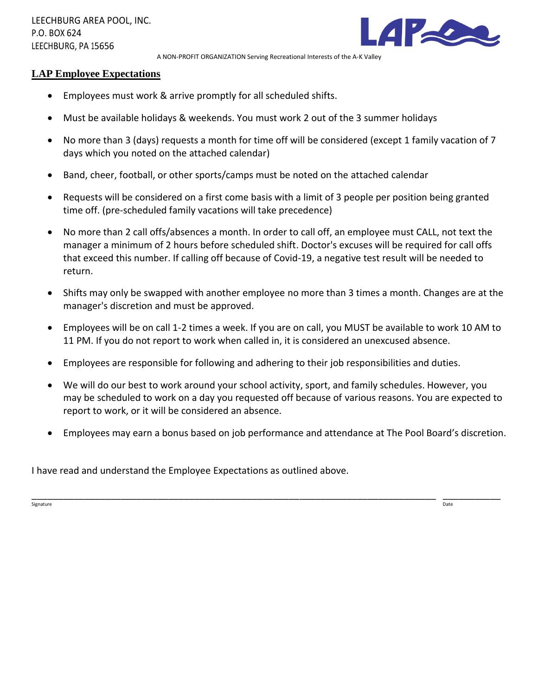

A NON-PROFIT ORGANIZATION Serving Recreational Interests of the A-K Valley

#### **LAP Employee Expectations**

- Employees must work & arrive promptly for all scheduled shifts.
- Must be available holidays & weekends. You must work 2 out of the 3 summer holidays
- No more than 3 (days) requests a month for time off will be considered (except 1 family vacation of 7 days which you noted on the attached calendar)
- Band, cheer, football, or other sports/camps must be noted on the attached calendar
- Requests will be considered on a first come basis with a limit of 3 people per position being granted time off. (pre-scheduled family vacations will take precedence)
- No more than 2 call offs/absences a month. In order to call off, an employee must CALL, not text the manager a minimum of 2 hours before scheduled shift. Doctor's excuses will be required for call offs that exceed this number. If calling off because of Covid-19, a negative test result will be needed to return.
- Shifts may only be swapped with another employee no more than 3 times a month. Changes are at the manager's discretion and must be approved.
- Employees will be on call 1-2 times a week. If you are on call, you MUST be available to work 10 AM to 11 PM. If you do not report to work when called in, it is considered an unexcused absence.
- Employees are responsible for following and adhering to their job responsibilities and duties.
- We will do our best to work around your school activity, sport, and family schedules. However, you may be scheduled to work on a day you requested off because of various reasons. You are expected to report to work, or it will be considered an absence.
- Employees may earn a bonus based on job performance and attendance at The Pool Board's discretion.

I have read and understand the Employee Expectations as outlined above.

\_\_\_\_\_\_\_\_\_\_\_\_\_\_\_\_\_\_\_\_\_\_\_\_\_\_\_\_\_\_\_\_\_\_\_\_\_\_\_\_\_\_\_\_\_\_\_\_\_\_\_\_\_\_\_\_\_\_\_\_\_\_\_\_\_\_\_\_\_\_\_\_\_\_\_\_\_ \_\_\_\_\_\_\_\_\_\_\_ signature the contract of the contract of the contract of the contract of the contract of the contract of the contract of the contract of the contract of the contract of the contract of the contract of the contract of the